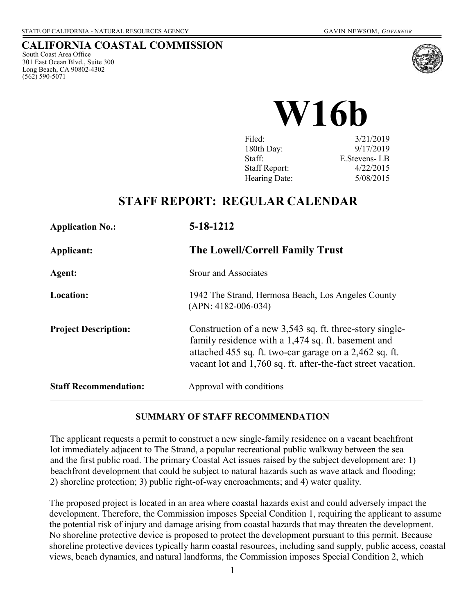### **CALIFORNIA COASTAL COMMISSION**

South Coast Area Office 301 East Ocean Blvd., Suite 300 Long Beach, CA 90802-4302 (562) 590-5071



**W16b** 

| Filed:        | 3/21/2019       |
|---------------|-----------------|
| 180th Day:    | 9/17/2019       |
| Staff:        | E. Stevens - LB |
| Staff Report: | 4/22/2015       |
| Hearing Date: | 5/08/2015       |

## **STAFF REPORT: REGULAR CALENDAR**

| <b>Application No.:</b>      | 5-18-1212                                                                                                                                                                                                                               |
|------------------------------|-----------------------------------------------------------------------------------------------------------------------------------------------------------------------------------------------------------------------------------------|
| Applicant:                   | The Lowell/Correll Family Trust                                                                                                                                                                                                         |
| Agent:                       | Srour and Associates                                                                                                                                                                                                                    |
| Location:                    | 1942 The Strand, Hermosa Beach, Los Angeles County<br>$(APN: 4182-006-034)$                                                                                                                                                             |
| <b>Project Description:</b>  | Construction of a new 3,543 sq. ft. three-story single-<br>family residence with a 1,474 sq. ft. basement and<br>attached 455 sq. ft. two-car garage on a 2,462 sq. ft.<br>vacant lot and 1,760 sq. ft. after-the-fact street vacation. |
| <b>Staff Recommendation:</b> | Approval with conditions                                                                                                                                                                                                                |

#### **SUMMARY OF STAFF RECOMMENDATION**

The applicant requests a permit to construct a new single-family residence on a vacant beachfront lot immediately adjacent to The Strand, a popular recreational public walkway between the sea and the first public road. The primary Coastal Act issues raised by the subject development are: 1) beachfront development that could be subject to natural hazards such as wave attack and flooding; 2) shoreline protection; 3) public right-of-way encroachments; and 4) water quality.

The proposed project is located in an area where coastal hazards exist and could adversely impact the development. Therefore, the Commission imposes Special Condition 1, requiring the applicant to assume the potential risk of injury and damage arising from coastal hazards that may threaten the development. No shoreline protective device is proposed to protect the development pursuant to this permit. Because shoreline protective devices typically harm coastal resources, including sand supply, public access, coastal views, beach dynamics, and natural landforms, the Commission imposes Special Condition 2, which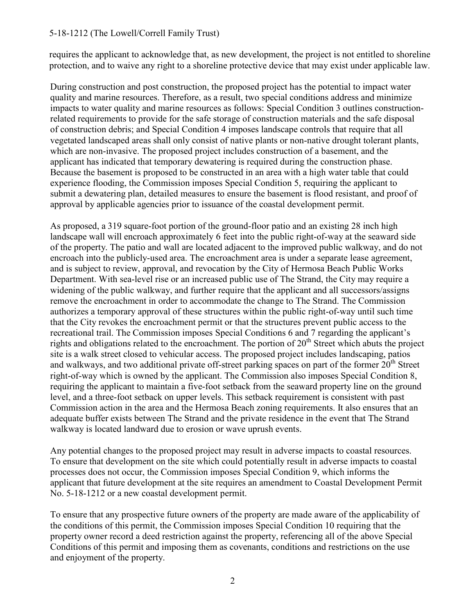#### 5-18-1212 (The Lowell/Correll Family Trust)

requires the applicant to acknowledge that, as new development, the project is not entitled to shoreline protection, and to waive any right to a shoreline protective device that may exist under applicable law.

During construction and post construction, the proposed project has the potential to impact water quality and marine resources. Therefore, as a result, two special conditions address and minimize impacts to water quality and marine resources as follows: Special Condition 3 outlines constructionrelated requirements to provide for the safe storage of construction materials and the safe disposal of construction debris; and Special Condition 4 imposes landscape controls that require that all vegetated landscaped areas shall only consist of native plants or non-native drought tolerant plants, which are non-invasive. The proposed project includes construction of a basement, and the applicant has indicated that temporary dewatering is required during the construction phase. Because the basement is proposed to be constructed in an area with a high water table that could experience flooding, the Commission imposes Special Condition 5, requiring the applicant to submit a dewatering plan, detailed measures to ensure the basement is flood resistant, and proof of approval by applicable agencies prior to issuance of the coastal development permit.

As proposed, a 319 square-foot portion of the ground-floor patio and an existing 28 inch high landscape wall will encroach approximately 6 feet into the public right-of-way at the seaward side of the property. The patio and wall are located adjacent to the improved public walkway, and do not encroach into the publicly-used area. The encroachment area is under a separate lease agreement, and is subject to review, approval, and revocation by the City of Hermosa Beach Public Works Department. With sea-level rise or an increased public use of The Strand, the City may require a widening of the public walkway, and further require that the applicant and all successors/assigns remove the encroachment in order to accommodate the change to The Strand. The Commission authorizes a temporary approval of these structures within the public right-of-way until such time that the City revokes the encroachment permit or that the structures prevent public access to the recreational trail. The Commission imposes Special Conditions 6 and 7 regarding the applicant's rights and obligations related to the encroachment. The portion of 20<sup>th</sup> Street which abuts the project site is a walk street closed to vehicular access. The proposed project includes landscaping, patios and walkways, and two additional private off-street parking spaces on part of the former  $20<sup>th</sup>$  Street right-of-way which is owned by the applicant. The Commission also imposes Special Condition 8, requiring the applicant to maintain a five-foot setback from the seaward property line on the ground level, and a three-foot setback on upper levels. This setback requirement is consistent with past Commission action in the area and the Hermosa Beach zoning requirements. It also ensures that an adequate buffer exists between The Strand and the private residence in the event that The Strand walkway is located landward due to erosion or wave uprush events.

Any potential changes to the proposed project may result in adverse impacts to coastal resources. To ensure that development on the site which could potentially result in adverse impacts to coastal processes does not occur, the Commission imposes Special Condition 9, which informs the applicant that future development at the site requires an amendment to Coastal Development Permit No. 5-18-1212 or a new coastal development permit.

To ensure that any prospective future owners of the property are made aware of the applicability of the conditions of this permit, the Commission imposes Special Condition 10 requiring that the property owner record a deed restriction against the property, referencing all of the above Special Conditions of this permit and imposing them as covenants, conditions and restrictions on the use and enjoyment of the property.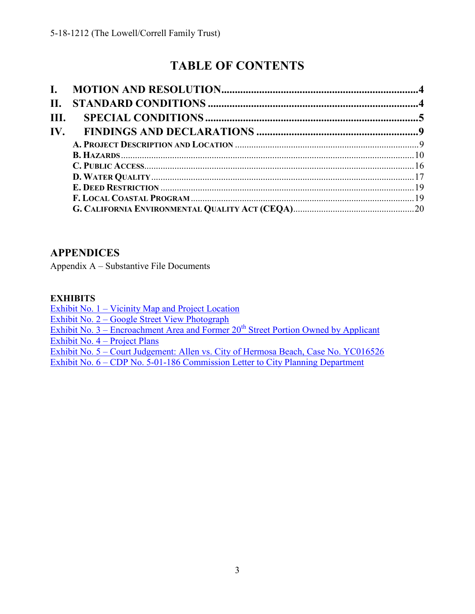# **TABLE OF CONTENTS**

| <b>II.</b> |  |
|------------|--|
| III.       |  |
|            |  |
|            |  |
|            |  |
|            |  |
|            |  |
|            |  |
|            |  |
|            |  |

### **APPENDICES**

Appendix A – Substantive File Documents

### **EXHIBITS**

[Exhibit No. 1 – Vicinity Map and Project Location](https://documents.coastal.ca.gov/reports/2019/5/w16b/w16b-5-2019-exhibits.pdf)  [Exhibit No. 2 – Google Street View Photograph](https://documents.coastal.ca.gov/reports/2019/5/w16b/w16b-5-2019-exhibits.pdf)  Exhibit No.  $3$  – Encroachment Area and Former  $20<sup>th</sup>$  Street Portion Owned by Applicant [Exhibit No. 4 –](https://documents.coastal.ca.gov/reports/2019/5/w16b/w16b-5-2019-exhibits.pdf) Project Plans [Exhibit No. 5 – Court Judgement: Allen vs. City of Hermosa Beach, Case No. YC016526](https://documents.coastal.ca.gov/reports/2019/5/w16b/w16b-5-2019-exhibits.pdf)  [Exhibit No. 6 – CDP No. 5-01-186 Commission Letter to City Planning Department](https://documents.coastal.ca.gov/reports/2019/5/w16b/w16b-5-2019-exhibits.pdf)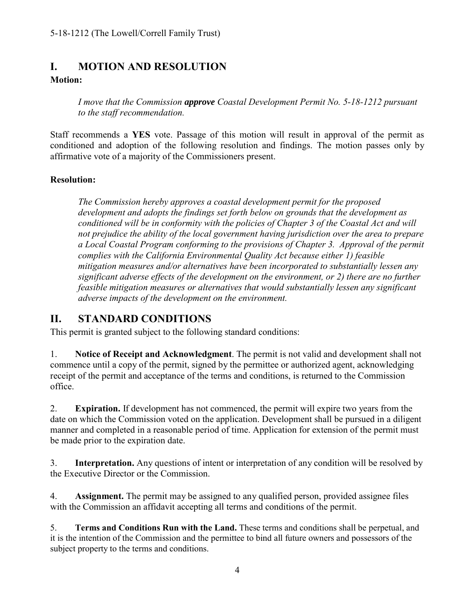### <span id="page-3-0"></span>**I. MOTION AND RESOLUTION Motion:**

*I move that the Commission approve Coastal Development Permit No. 5-18-1212 pursuant to the staff recommendation.*

Staff recommends a **YES** vote. Passage of this motion will result in approval of the permit as conditioned and adoption of the following resolution and findings. The motion passes only by affirmative vote of a majority of the Commissioners present.

### **Resolution:**

*The Commission hereby approves a coastal development permit for the proposed development and adopts the findings set forth below on grounds that the development as conditioned will be in conformity with the policies of Chapter 3 of the Coastal Act and will not prejudice the ability of the local government having jurisdiction over the area to prepare a Local Coastal Program conforming to the provisions of Chapter 3. Approval of the permit complies with the California Environmental Quality Act because either 1) feasible mitigation measures and/or alternatives have been incorporated to substantially lessen any significant adverse effects of the development on the environment, or 2) there are no further feasible mitigation measures or alternatives that would substantially lessen any significant adverse impacts of the development on the environment.*

## <span id="page-3-1"></span>**II. STANDARD CONDITIONS**

This permit is granted subject to the following standard conditions:

1. **Notice of Receipt and Acknowledgment**. The permit is not valid and development shall not commence until a copy of the permit, signed by the permittee or authorized agent, acknowledging receipt of the permit and acceptance of the terms and conditions, is returned to the Commission office.

2. **Expiration.** If development has not commenced, the permit will expire two years from the date on which the Commission voted on the application. Development shall be pursued in a diligent manner and completed in a reasonable period of time. Application for extension of the permit must be made prior to the expiration date.

3. **Interpretation.** Any questions of intent or interpretation of any condition will be resolved by the Executive Director or the Commission.

4. **Assignment.** The permit may be assigned to any qualified person, provided assignee files with the Commission an affidavit accepting all terms and conditions of the permit.

5. **Terms and Conditions Run with the Land.** These terms and conditions shall be perpetual, and it is the intention of the Commission and the permittee to bind all future owners and possessors of the subject property to the terms and conditions.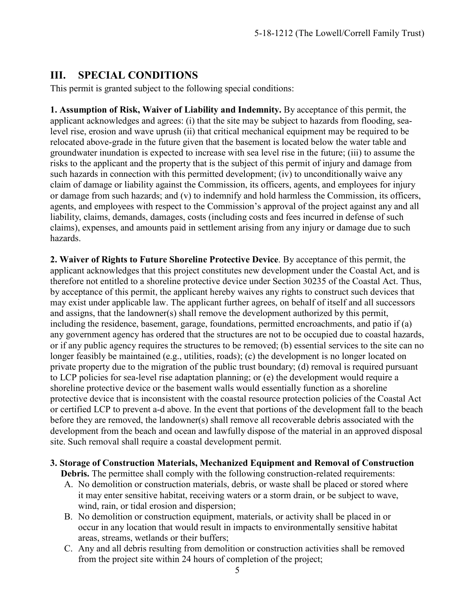## <span id="page-4-0"></span>**III. SPECIAL CONDITIONS**

This permit is granted subject to the following special conditions:

**1. Assumption of Risk, Waiver of Liability and Indemnity.** By acceptance of this permit, the applicant acknowledges and agrees: (i) that the site may be subject to hazards from flooding, sealevel rise, erosion and wave uprush (ii) that critical mechanical equipment may be required to be relocated above-grade in the future given that the basement is located below the water table and groundwater inundation is expected to increase with sea level rise in the future; (iii) to assume the risks to the applicant and the property that is the subject of this permit of injury and damage from such hazards in connection with this permitted development; (iv) to unconditionally waive any claim of damage or liability against the Commission, its officers, agents, and employees for injury or damage from such hazards; and (v) to indemnify and hold harmless the Commission, its officers, agents, and employees with respect to the Commission's approval of the project against any and all liability, claims, demands, damages, costs (including costs and fees incurred in defense of such claims), expenses, and amounts paid in settlement arising from any injury or damage due to such hazards.

**2. Waiver of Rights to Future Shoreline Protective Device**. By acceptance of this permit, the applicant acknowledges that this project constitutes new development under the Coastal Act, and is therefore not entitled to a shoreline protective device under Section 30235 of the Coastal Act. Thus, by acceptance of this permit, the applicant hereby waives any rights to construct such devices that may exist under applicable law. The applicant further agrees, on behalf of itself and all successors and assigns, that the landowner(s) shall remove the development authorized by this permit, including the residence, basement, garage, foundations, permitted encroachments, and patio if (a) any government agency has ordered that the structures are not to be occupied due to coastal hazards, or if any public agency requires the structures to be removed; (b) essential services to the site can no longer feasibly be maintained (e.g., utilities, roads); (c) the development is no longer located on private property due to the migration of the public trust boundary; (d) removal is required pursuant to LCP policies for sea-level rise adaptation planning; or (e) the development would require a shoreline protective device or the basement walls would essentially function as a shoreline protective device that is inconsistent with the coastal resource protection policies of the Coastal Act or certified LCP to prevent a-d above. In the event that portions of the development fall to the beach before they are removed, the landowner(s) shall remove all recoverable debris associated with the development from the beach and ocean and lawfully dispose of the material in an approved disposal site. Such removal shall require a coastal development permit.

#### **3. Storage of Construction Materials, Mechanized Equipment and Removal of Construction**

**Debris.** The permittee shall comply with the following construction-related requirements:

- A. No demolition or construction materials, debris, or waste shall be placed or stored where it may enter sensitive habitat, receiving waters or a storm drain, or be subject to wave, wind, rain, or tidal erosion and dispersion;
- B. No demolition or construction equipment, materials, or activity shall be placed in or occur in any location that would result in impacts to environmentally sensitive habitat areas, streams, wetlands or their buffers;
- C. Any and all debris resulting from demolition or construction activities shall be removed from the project site within 24 hours of completion of the project;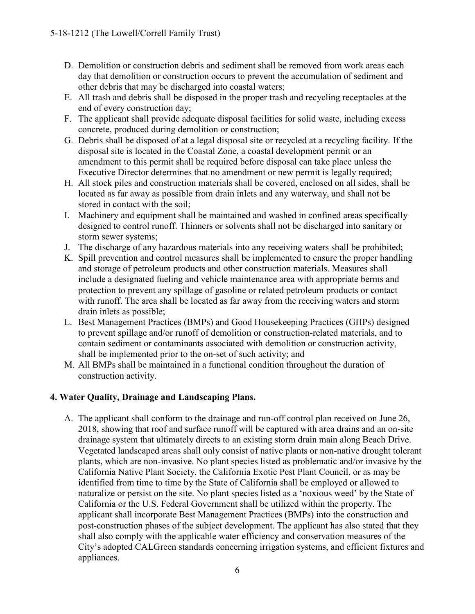- D. Demolition or construction debris and sediment shall be removed from work areas each day that demolition or construction occurs to prevent the accumulation of sediment and other debris that may be discharged into coastal waters;
- E. All trash and debris shall be disposed in the proper trash and recycling receptacles at the end of every construction day;
- F. The applicant shall provide adequate disposal facilities for solid waste, including excess concrete, produced during demolition or construction;
- G. Debris shall be disposed of at a legal disposal site or recycled at a recycling facility. If the disposal site is located in the Coastal Zone, a coastal development permit or an amendment to this permit shall be required before disposal can take place unless the Executive Director determines that no amendment or new permit is legally required;
- H. All stock piles and construction materials shall be covered, enclosed on all sides, shall be located as far away as possible from drain inlets and any waterway, and shall not be stored in contact with the soil;
- I. Machinery and equipment shall be maintained and washed in confined areas specifically designed to control runoff. Thinners or solvents shall not be discharged into sanitary or storm sewer systems;
- J. The discharge of any hazardous materials into any receiving waters shall be prohibited;
- K. Spill prevention and control measures shall be implemented to ensure the proper handling and storage of petroleum products and other construction materials. Measures shall include a designated fueling and vehicle maintenance area with appropriate berms and protection to prevent any spillage of gasoline or related petroleum products or contact with runoff. The area shall be located as far away from the receiving waters and storm drain inlets as possible;
- L. Best Management Practices (BMPs) and Good Housekeeping Practices (GHPs) designed to prevent spillage and/or runoff of demolition or construction-related materials, and to contain sediment or contaminants associated with demolition or construction activity, shall be implemented prior to the on-set of such activity; and
- M. All BMPs shall be maintained in a functional condition throughout the duration of construction activity.

### **4. Water Quality, Drainage and Landscaping Plans.**

A. The applicant shall conform to the drainage and run-off control plan received on June 26, 2018, showing that roof and surface runoff will be captured with area drains and an on-site drainage system that ultimately directs to an existing storm drain main along Beach Drive. Vegetated landscaped areas shall only consist of native plants or non-native drought tolerant plants, which are non-invasive. No plant species listed as problematic and/or invasive by the California Native Plant Society, the California Exotic Pest Plant Council, or as may be identified from time to time by the State of California shall be employed or allowed to naturalize or persist on the site. No plant species listed as a 'noxious weed' by the State of California or the U.S. Federal Government shall be utilized within the property. The applicant shall incorporate Best Management Practices (BMPs) into the construction and post-construction phases of the subject development. The applicant has also stated that they shall also comply with the applicable water efficiency and conservation measures of the City's adopted CALGreen standards concerning irrigation systems, and efficient fixtures and appliances.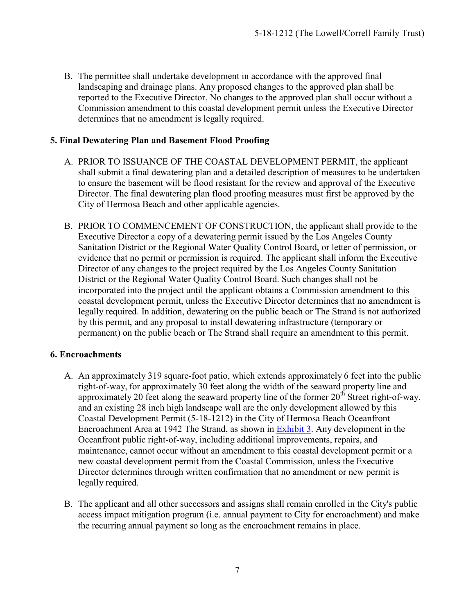B. The permittee shall undertake development in accordance with the approved final landscaping and drainage plans. Any proposed changes to the approved plan shall be reported to the Executive Director. No changes to the approved plan shall occur without a Commission amendment to this coastal development permit unless the Executive Director determines that no amendment is legally required.

### **5. Final Dewatering Plan and Basement Flood Proofing**

- A. PRIOR TO ISSUANCE OF THE COASTAL DEVELOPMENT PERMIT, the applicant shall submit a final dewatering plan and a detailed description of measures to be undertaken to ensure the basement will be flood resistant for the review and approval of the Executive Director. The final dewatering plan flood proofing measures must first be approved by the City of Hermosa Beach and other applicable agencies.
- B. PRIOR TO COMMENCEMENT OF CONSTRUCTION, the applicant shall provide to the Executive Director a copy of a dewatering permit issued by the Los Angeles County Sanitation District or the Regional Water Quality Control Board, or letter of permission, or evidence that no permit or permission is required. The applicant shall inform the Executive Director of any changes to the project required by the Los Angeles County Sanitation District or the Regional Water Quality Control Board. Such changes shall not be incorporated into the project until the applicant obtains a Commission amendment to this coastal development permit, unless the Executive Director determines that no amendment is legally required. In addition, dewatering on the public beach or The Strand is not authorized by this permit, and any proposal to install dewatering infrastructure (temporary or permanent) on the public beach or The Strand shall require an amendment to this permit.

#### **6. Encroachments**

- A. An approximately 319 square-foot patio, which extends approximately 6 feet into the public right-of-way, for approximately 30 feet along the width of the seaward property line and approximately 20 feet along the seaward property line of the former  $20<sup>th</sup>$  Street right-of-way, and an existing 28 inch high landscape wall are the only development allowed by this Coastal Development Permit (5-18-1212) in the City of Hermosa Beach Oceanfront Encroachment Area at 1942 The Strand, as shown in [Exhibit](https://documents.coastal.ca.gov/reports/2019/5/w16b/w16b-5-2019-exhibits.pdf) 3. Any development in the Oceanfront public right-of-way, including additional improvements, repairs, and maintenance, cannot occur without an amendment to this coastal development permit or a new coastal development permit from the Coastal Commission, unless the Executive Director determines through written confirmation that no amendment or new permit is legally required.
- B. The applicant and all other successors and assigns shall remain enrolled in the City's public access impact mitigation program (i.e. annual payment to City for encroachment) and make the recurring annual payment so long as the encroachment remains in place.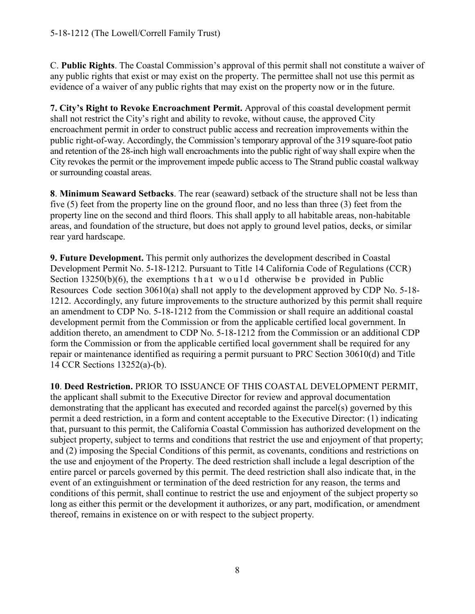C. **Public Rights**. The Coastal Commission's approval of this permit shall not constitute a waiver of any public rights that exist or may exist on the property. The permittee shall not use this permit as evidence of a waiver of any public rights that may exist on the property now or in the future.

**7. City's Right to Revoke Encroachment Permit.** Approval of this coastal development permit shall not restrict the City's right and ability to revoke, without cause, the approved City encroachment permit in order to construct public access and recreation improvements within the public right-of-way. Accordingly, the Commission's temporary approval of the 319 square-foot patio and retention of the 28-inch high wall encroachments into the public right of way shall expire when the City revokes the permit or the improvement impede public access to The Strand public coastal walkway or surrounding coastal areas.

**8**. **Minimum Seaward Setbacks**. The rear (seaward) setback of the structure shall not be less than five (5) feet from the property line on the ground floor, and no less than three (3) feet from the property line on the second and third floors. This shall apply to all habitable areas, non-habitable areas, and foundation of the structure, but does not apply to ground level patios, decks, or similar rear yard hardscape.

**9. Future Development.** This permit only authorizes the development described in Coastal Development Permit No. 5-18-1212. Pursuant to Title 14 California Code of Regulations (CCR) Section  $13250(b)(6)$ , the exemptions that would otherwise be provided in Public Resources Code section 30610(a) shall not apply to the development approved by CDP No. 5-18- 1212. Accordingly, any future improvements to the structure authorized by this permit shall require an amendment to CDP No. 5-18-1212 from the Commission or shall require an additional coastal development permit from the Commission or from the applicable certified local government. In addition thereto, an amendment to CDP No. 5-18-1212 from the Commission or an additional CDP form the Commission or from the applicable certified local government shall be required for any repair or maintenance identified as requiring a permit pursuant to PRC Section 30610(d) and Title 14 CCR Sections 13252(a)-(b).

**10**. **Deed Restriction.** PRIOR TO ISSUANCE OF THIS COASTAL DEVELOPMENT PERMIT, the applicant shall submit to the Executive Director for review and approval documentation demonstrating that the applicant has executed and recorded against the parcel(s) governed by this permit a deed restriction, in a form and content acceptable to the Executive Director: (1) indicating that, pursuant to this permit, the California Coastal Commission has authorized development on the subject property, subject to terms and conditions that restrict the use and enjoyment of that property; and (2) imposing the Special Conditions of this permit, as covenants, conditions and restrictions on the use and enjoyment of the Property. The deed restriction shall include a legal description of the entire parcel or parcels governed by this permit. The deed restriction shall also indicate that, in the event of an extinguishment or termination of the deed restriction for any reason, the terms and conditions of this permit, shall continue to restrict the use and enjoyment of the subject property so long as either this permit or the development it authorizes, or any part, modification, or amendment thereof, remains in existence on or with respect to the subject property.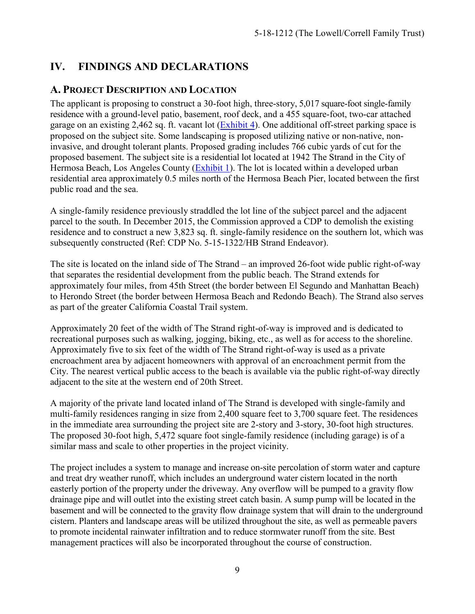## <span id="page-8-0"></span>**IV. FINDINGS AND DECLARATIONS**

### <span id="page-8-1"></span>**A. PROJECT DESCRIPTION AND LOCATION**

The applicant is proposing to construct a 30-foot high, three-story, 5,017 square-foot single-family residence with a ground-level patio, basement, roof deck, and a 455 square-foot, two-car attached garage on an existing 2,462 sq. ft. vacant lot [\(Exhibit](https://documents.coastal.ca.gov/reports/2019/5/w16b/w16b-5-2019-exhibits.pdf) 4). One additional off-street parking space is proposed on the subject site. Some landscaping is proposed utilizing native or non-native, noninvasive, and drought tolerant plants. Proposed grading includes 766 cubic yards of cut for the proposed basement. The subject site is a residential lot located at 1942 The Strand in the City of Hermosa Beach, Los Angeles County [\(Exhibit](https://documents.coastal.ca.gov/reports/2019/5/w16b/w16b-5-2019-exhibits.pdf) 1). The lot is located within a developed urban residential area approximately 0.5 miles north of the Hermosa Beach Pier, located between the first public road and the sea.

A single-family residence previously straddled the lot line of the subject parcel and the adjacent parcel to the south. In December 2015, the Commission approved a CDP to demolish the existing residence and to construct a new 3,823 sq. ft. single-family residence on the southern lot, which was subsequently constructed (Ref: CDP No. 5-15-1322/HB Strand Endeavor).

The site is located on the inland side of The Strand – an improved 26-foot wide public right-of-way that separates the residential development from the public beach. The Strand extends for approximately four miles, from 45th Street (the border between El Segundo and Manhattan Beach) to Herondo Street (the border between Hermosa Beach and Redondo Beach). The Strand also serves as part of the greater California Coastal Trail system.

Approximately 20 feet of the width of The Strand right-of-way is improved and is dedicated to recreational purposes such as walking, jogging, biking, etc., as well as for access to the shoreline. Approximately five to six feet of the width of The Strand right-of-way is used as a private encroachment area by adjacent homeowners with approval of an encroachment permit from the City. The nearest vertical public access to the beach is available via the public right-of-way directly adjacent to the site at the western end of 20th Street.

A majority of the private land located inland of The Strand is developed with single-family and multi-family residences ranging in size from 2,400 square feet to 3,700 square feet. The residences in the immediate area surrounding the project site are 2-story and 3-story, 30-foot high structures. The proposed 30-foot high, 5,472 square foot single-family residence (including garage) is of a similar mass and scale to other properties in the project vicinity.

The project includes a system to manage and increase on-site percolation of storm water and capture and treat dry weather runoff, which includes an underground water cistern located in the north easterly portion of the property under the driveway. Any overflow will be pumped to a gravity flow drainage pipe and will outlet into the existing street catch basin. A sump pump will be located in the basement and will be connected to the gravity flow drainage system that will drain to the underground cistern. Planters and landscape areas will be utilized throughout the site, as well as permeable pavers to promote incidental rainwater infiltration and to reduce stormwater runoff from the site. Best management practices will also be incorporated throughout the course of construction.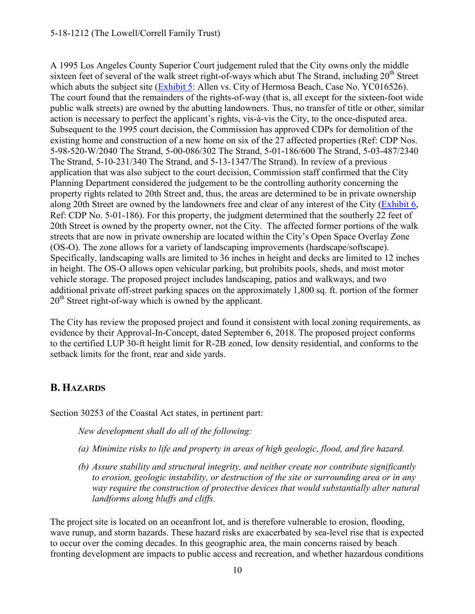A 1995 Los Angeles County Superior Court judgement ruled that the City owns only the middle sixteen feet of several of the walk street right-of-ways which abut The Strand, including  $20<sup>th</sup>$  Street which abuts the subject site [\(Exhibit 5:](https://documents.coastal.ca.gov/reports/2019/5/w16b/w16b-5-2019-exhibits.pdf) Allen vs. City of Hermosa Beach, Case No. YC016526). The court found that the remainders of the rights-of-way (that is, all except for the sixteen-foot wide public walk streets) are owned by the abutting landowners. Thus, no transfer of title or other, similar action is necessary to perfect the applicant's rights, vis-à-vis the City, to the once-disputed area. Subsequent to the 1995 court decision, the Commission has approved CDPs for demolition of the existing home and construction of a new home on six of the 27 affected properties (Ref: CDP Nos. 5-98-520-W/2040 The Strand, 5-00-086/302 The Strand, 5-01-186/600 The Strand, 5-03-487/2340 The Strand, 5-10-231/340 The Strand, and 5-13-1347/The Strand). In review of a previous application that was also subject to the court decision, Commission staff confirmed that the City Planning Department considered the judgement to be the controlling authority concerning the property rights related to 20th Street and, thus, the areas are determined to be in private ownership along 20th Street are owned by the landowners free and clear of any interest of the City [\(Exhibit 6,](https://documents.coastal.ca.gov/reports/2019/5/w16b/w16b-5-2019-exhibits.pdf) Ref: CDP No. 5-01-186). For this property, the judgment determined that the southerly 22 feet of 20th Street is owned by the property owner, not the City. The affected former portions of the walk streets that are now in private ownership are located within the City's Open Space Overlay Zone (OS-O). The zone allows for a variety of landscaping improvements (hardscape/softscape). Specifically, landscaping walls are limited to 36 inches in height and decks are limited to 12 inches in height. The OS-O allows open vehicular parking, but prohibits pools, sheds, and most motor vehicle storage. The proposed project includes landscaping, patios and walkways, and two additional private off-street parking spaces on the approximately 1,800 sq. ft. portion of the former 20<sup>th</sup> Street right-of-way which is owned by the applicant.

The City has review the proposed project and found it consistent with local zoning requirements, as evidence by their Approval-In-Concept, dated September 6, 2018. The proposed project conforms to the certified LUP 30-ft height limit for R-2B zoned, low density residential, and conforms to the setback limits for the front, rear and side yards.

### <span id="page-9-0"></span>**B. HAZARDS**

Section 30253 of the Coastal Act states, in pertinent part:

*New development shall do all of the following:* 

- *(a) Minimize risks to life and property in areas of high geologic, flood, and fire hazard.*
- *(b) Assure stability and structural integrity, and neither create nor contribute significantly to erosion, geologic instability, or destruction of the site or surrounding area or in any way require the construction of protective devices that would substantially alter natural landforms along bluffs and cliffs.*

The project site is located on an oceanfront lot, and is therefore vulnerable to erosion, flooding, wave runup, and storm hazards. These hazard risks are exacerbated by sea-level rise that is expected to occur over the coming decades. In this geographic area, the main concerns raised by beach fronting development are impacts to public access and recreation, and whether hazardous conditions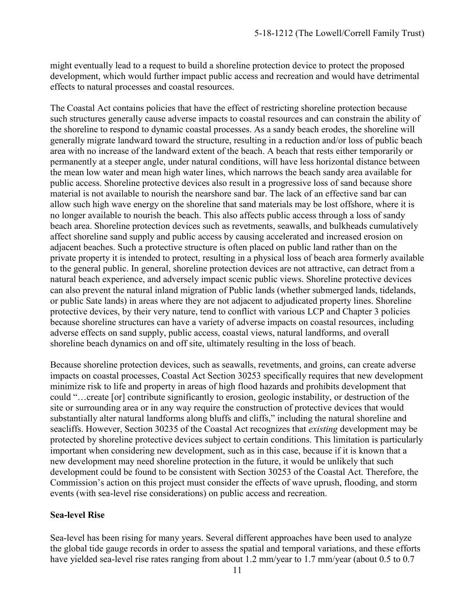might eventually lead to a request to build a shoreline protection device to protect the proposed development, which would further impact public access and recreation and would have detrimental effects to natural processes and coastal resources.

The Coastal Act contains policies that have the effect of restricting shoreline protection because such structures generally cause adverse impacts to coastal resources and can constrain the ability of the shoreline to respond to dynamic coastal processes. As a sandy beach erodes, the shoreline will generally migrate landward toward the structure, resulting in a reduction and/or loss of public beach area with no increase of the landward extent of the beach. A beach that rests either temporarily or permanently at a steeper angle, under natural conditions, will have less horizontal distance between the mean low water and mean high water lines, which narrows the beach sandy area available for public access. Shoreline protective devices also result in a progressive loss of sand because shore material is not available to nourish the nearshore sand bar. The lack of an effective sand bar can allow such high wave energy on the shoreline that sand materials may be lost offshore, where it is no longer available to nourish the beach. This also affects public access through a loss of sandy beach area. Shoreline protection devices such as revetments, seawalls, and bulkheads cumulatively affect shoreline sand supply and public access by causing accelerated and increased erosion on adjacent beaches. Such a protective structure is often placed on public land rather than on the private property it is intended to protect, resulting in a physical loss of beach area formerly available to the general public. In general, shoreline protection devices are not attractive, can detract from a natural beach experience, and adversely impact scenic public views. Shoreline protective devices can also prevent the natural inland migration of Public lands (whether submerged lands, tidelands, or public Sate lands) in areas where they are not adjacent to adjudicated property lines. Shoreline protective devices, by their very nature, tend to conflict with various LCP and Chapter 3 policies because shoreline structures can have a variety of adverse impacts on coastal resources, including adverse effects on sand supply, public access, coastal views, natural landforms, and overall shoreline beach dynamics on and off site, ultimately resulting in the loss of beach.

Because shoreline protection devices, such as seawalls, revetments, and groins, can create adverse impacts on coastal processes, Coastal Act Section 30253 specifically requires that new development minimize risk to life and property in areas of high flood hazards and prohibits development that could "…create [or] contribute significantly to erosion, geologic instability, or destruction of the site or surrounding area or in any way require the construction of protective devices that would substantially alter natural landforms along bluffs and cliffs," including the natural shoreline and seacliffs. However, Section 30235 of the Coastal Act recognizes that *existing* development may be protected by shoreline protective devices subject to certain conditions. This limitation is particularly important when considering new development, such as in this case, because if it is known that a new development may need shoreline protection in the future, it would be unlikely that such development could be found to be consistent with Section 30253 of the Coastal Act. Therefore, the Commission's action on this project must consider the effects of wave uprush, flooding, and storm events (with sea-level rise considerations) on public access and recreation.

#### **Sea-level Rise**

Sea-level has been rising for many years. Several different approaches have been used to analyze the global tide gauge records in order to assess the spatial and temporal variations, and these efforts have yielded sea-level rise rates ranging from about 1.2 mm/year to 1.7 mm/year (about 0.5 to 0.7)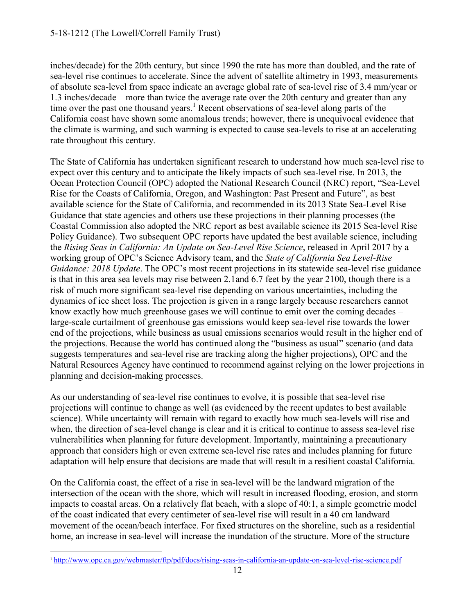inches/decade) for the 20th century, but since 1990 the rate has more than doubled, and the rate of sea-level rise continues to accelerate. Since the advent of satellite altimetry in 1993, measurements of absolute sea-level from space indicate an average global rate of sea-level rise of 3.4 mm/year or 1.3 inches/decade – more than twice the average rate over the 20th century and greater than any time over the past one thousand years.<sup>1</sup> Recent observations of sea-level along parts of the California coast have shown some anomalous trends; however, there is unequivocal evidence that the climate is warming, and such warming is expected to cause sea-levels to rise at an accelerating rate throughout this century.

The State of California has undertaken significant research to understand how much sea-level rise to expect over this century and to anticipate the likely impacts of such sea-level rise. In 2013, the Ocean Protection Council (OPC) adopted the National Research Council (NRC) report, "Sea-Level Rise for the Coasts of California, Oregon, and Washington: Past Present and Future", as best available science for the State of California, and recommended in its 2013 State Sea-Level Rise Guidance that state agencies and others use these projections in their planning processes (the Coastal Commission also adopted the NRC report as best available science its 2015 Sea-level Rise Policy Guidance). Two subsequent OPC reports have updated the best available science, including the *Rising Seas in California: An Update on Sea-Level Rise Science*, released in April 2017 by a working group of OPC's Science Advisory team, and the *State of California Sea Level-Rise Guidance: 2018 Update*. The OPC's most recent projections in its statewide sea-level rise guidance is that in this area sea levels may rise between 2.1and 6.7 feet by the year 2100, though there is a risk of much more significant sea-level rise depending on various uncertainties, including the dynamics of ice sheet loss. The projection is given in a range largely because researchers cannot know exactly how much greenhouse gases we will continue to emit over the coming decades – large-scale curtailment of greenhouse gas emissions would keep sea-level rise towards the lower end of the projections, while business as usual emissions scenarios would result in the higher end of the projections. Because the world has continued along the "business as usual" scenario (and data suggests temperatures and sea-level rise are tracking along the higher projections), OPC and the Natural Resources Agency have continued to recommend against relying on the lower projections in planning and decision-making processes.

As our understanding of sea-level rise continues to evolve, it is possible that sea-level rise projections will continue to change as well (as evidenced by the recent updates to best available science). While uncertainty will remain with regard to exactly how much sea-levels will rise and when, the direction of sea-level change is clear and it is critical to continue to assess sea-level rise vulnerabilities when planning for future development. Importantly, maintaining a precautionary approach that considers high or even extreme sea-level rise rates and includes planning for future adaptation will help ensure that decisions are made that will result in a resilient coastal California.

On the California coast, the effect of a rise in sea-level will be the landward migration of the intersection of the ocean with the shore, which will result in increased flooding, erosion, and storm impacts to coastal areas. On a relatively flat beach, with a slope of 40:1, a simple geometric model of the coast indicated that every centimeter of sea-level rise will result in a 40 cm landward movement of the ocean/beach interface. For fixed structures on the shoreline, such as a residential home, an increase in sea-level will increase the inundation of the structure. More of the structure

 $\overline{a}$ 

<sup>1</sup> <http://www.opc.ca.gov/webmaster/ftp/pdf/docs/rising-seas-in-california-an-update-on-sea-level-rise-science.pdf>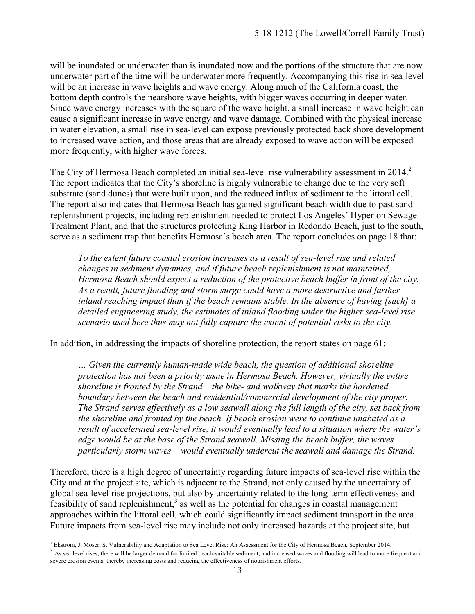will be inundated or underwater than is inundated now and the portions of the structure that are now underwater part of the time will be underwater more frequently. Accompanying this rise in sea-level will be an increase in wave heights and wave energy. Along much of the California coast, the bottom depth controls the nearshore wave heights, with bigger waves occurring in deeper water. Since wave energy increases with the square of the wave height, a small increase in wave height can cause a significant increase in wave energy and wave damage. Combined with the physical increase in water elevation, a small rise in sea-level can expose previously protected back shore development to increased wave action, and those areas that are already exposed to wave action will be exposed more frequently, with higher wave forces.

The City of Hermosa Beach completed an initial sea-level rise vulnerability assessment in 2014.<sup>2</sup> The report indicates that the City's shoreline is highly vulnerable to change due to the very soft substrate (sand dunes) that were built upon, and the reduced influx of sediment to the littoral cell. The report also indicates that Hermosa Beach has gained significant beach width due to past sand replenishment projects, including replenishment needed to protect Los Angeles' Hyperion Sewage Treatment Plant, and that the structures protecting King Harbor in Redondo Beach, just to the south, serve as a sediment trap that benefits Hermosa's beach area. The report concludes on page 18 that:

*To the extent future coastal erosion increases as a result of sea-level rise and related changes in sediment dynamics, and if future beach replenishment is not maintained, Hermosa Beach should expect a reduction of the protective beach buffer in front of the city. As a result, future flooding and storm surge could have a more destructive and fartherinland reaching impact than if the beach remains stable. In the absence of having [such] a detailed engineering study, the estimates of inland flooding under the higher sea-level rise scenario used here thus may not fully capture the extent of potential risks to the city.* 

In addition, in addressing the impacts of shoreline protection, the report states on page 61:

*… Given the currently human-made wide beach, the question of additional shoreline protection has not been a priority issue in Hermosa Beach. However, virtually the entire shoreline is fronted by the Strand – the bike- and walkway that marks the hardened boundary between the beach and residential/commercial development of the city proper. The Strand serves effectively as a low seawall along the full length of the city, set back from the shoreline and fronted by the beach. If beach erosion were to continue unabated as a result of accelerated sea-level rise, it would eventually lead to a situation where the water's edge would be at the base of the Strand seawall. Missing the beach buffer, the waves – particularly storm waves – would eventually undercut the seawall and damage the Strand.* 

Therefore, there is a high degree of uncertainty regarding future impacts of sea-level rise within the City and at the project site, which is adjacent to the Strand, not only caused by the uncertainty of global sea-level rise projections, but also by uncertainty related to the long-term effectiveness and feasibility of sand replenishment, $3$  as well as the potential for changes in coastal management approaches within the littoral cell, which could significantly impact sediment transport in the area. Future impacts from sea-level rise may include not only increased hazards at the project site, but

 $\overline{a}$ <sup>2</sup> Ekstrom, J, Moser, S. Vulnerability and Adaptation to Sea Level Rise: An Assessment for the City of Hermosa Beach, September 2014.

 $3$  As sea level rises, there will be larger demand for limited beach-suitable sediment, and increased waves and flooding will lead to more frequent and severe erosion events, thereby increasing costs and reducing the effectiveness of nourishment efforts.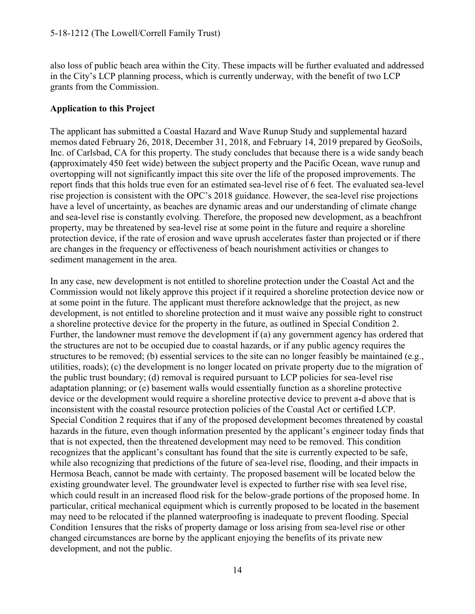also loss of public beach area within the City. These impacts will be further evaluated and addressed in the City's LCP planning process, which is currently underway, with the benefit of two LCP grants from the Commission.

### **Application to this Project**

The applicant has submitted a Coastal Hazard and Wave Runup Study and supplemental hazard memos dated February 26, 2018, December 31, 2018, and February 14, 2019 prepared by GeoSoils, Inc. of Carlsbad, CA for this property. The study concludes that because there is a wide sandy beach **(**approximately 450 feet wide) between the subject property and the Pacific Ocean, wave runup and overtopping will not significantly impact this site over the life of the proposed improvements. The report finds that this holds true even for an estimated sea-level rise of 6 feet. The evaluated sea-level rise projection is consistent with the OPC's 2018 guidance. However, the sea-level rise projections have a level of uncertainty, as beaches are dynamic areas and our understanding of climate change and sea-level rise is constantly evolving. Therefore, the proposed new development, as a beachfront property, may be threatened by sea-level rise at some point in the future and require a shoreline protection device, if the rate of erosion and wave uprush accelerates faster than projected or if there are changes in the frequency or effectiveness of beach nourishment activities or changes to sediment management in the area.

In any case, new development is not entitled to shoreline protection under the Coastal Act and the Commission would not likely approve this project if it required a shoreline protection device now or at some point in the future. The applicant must therefore acknowledge that the project, as new development, is not entitled to shoreline protection and it must waive any possible right to construct a shoreline protective device for the property in the future, as outlined in Special Condition 2. Further, the landowner must remove the development if (a) any government agency has ordered that the structures are not to be occupied due to coastal hazards, or if any public agency requires the structures to be removed; (b) essential services to the site can no longer feasibly be maintained (e.g., utilities, roads); (c) the development is no longer located on private property due to the migration of the public trust boundary; (d) removal is required pursuant to LCP policies for sea-level rise adaptation planning; or (e) basement walls would essentially function as a shoreline protective device or the development would require a shoreline protective device to prevent a-d above that is inconsistent with the coastal resource protection policies of the Coastal Act or certified LCP. Special Condition 2 requires that if any of the proposed development becomes threatened by coastal hazards in the future, even though information presented by the applicant's engineer today finds that that is not expected, then the threatened development may need to be removed. This condition recognizes that the applicant's consultant has found that the site is currently expected to be safe, while also recognizing that predictions of the future of sea-level rise, flooding, and their impacts in Hermosa Beach, cannot be made with certainty. The proposed basement will be located below the existing groundwater level. The groundwater level is expected to further rise with sea level rise, which could result in an increased flood risk for the below-grade portions of the proposed home. In particular, critical mechanical equipment which is currently proposed to be located in the basement may need to be relocated if the planned waterproofing is inadequate to prevent flooding. Special Condition 1ensures that the risks of property damage or loss arising from sea-level rise or other changed circumstances are borne by the applicant enjoying the benefits of its private new development, and not the public.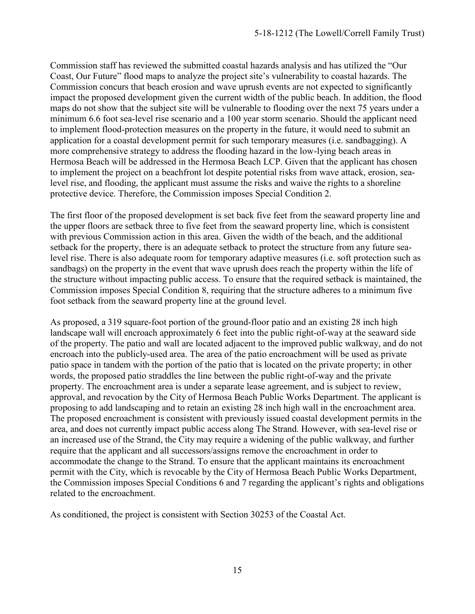Commission staff has reviewed the submitted coastal hazards analysis and has utilized the "Our Coast, Our Future" flood maps to analyze the project site's vulnerability to coastal hazards. The Commission concurs that beach erosion and wave uprush events are not expected to significantly impact the proposed development given the current width of the public beach. In addition, the flood maps do not show that the subject site will be vulnerable to flooding over the next 75 years under a minimum 6.6 foot sea-level rise scenario and a 100 year storm scenario. Should the applicant need to implement flood-protection measures on the property in the future, it would need to submit an application for a coastal development permit for such temporary measures (i.e. sandbagging). A more comprehensive strategy to address the flooding hazard in the low-lying beach areas in Hermosa Beach will be addressed in the Hermosa Beach LCP. Given that the applicant has chosen to implement the project on a beachfront lot despite potential risks from wave attack, erosion, sealevel rise, and flooding, the applicant must assume the risks and waive the rights to a shoreline protective device. Therefore, the Commission imposes Special Condition 2.

The first floor of the proposed development is set back five feet from the seaward property line and the upper floors are setback three to five feet from the seaward property line, which is consistent with previous Commission action in this area. Given the width of the beach, and the additional setback for the property, there is an adequate setback to protect the structure from any future sealevel rise. There is also adequate room for temporary adaptive measures (i.e. soft protection such as sandbags) on the property in the event that wave uprush does reach the property within the life of the structure without impacting public access. To ensure that the required setback is maintained, the Commission imposes Special Condition 8, requiring that the structure adheres to a minimum five foot setback from the seaward property line at the ground level.

As proposed, a 319 square-foot portion of the ground-floor patio and an existing 28 inch high landscape wall will encroach approximately 6 feet into the public right-of-way at the seaward side of the property. The patio and wall are located adjacent to the improved public walkway, and do not encroach into the publicly-used area. The area of the patio encroachment will be used as private patio space in tandem with the portion of the patio that is located on the private property; in other words, the proposed patio straddles the line between the public right-of-way and the private property. The encroachment area is under a separate lease agreement, and is subject to review, approval, and revocation by the City of Hermosa Beach Public Works Department. The applicant is proposing to add landscaping and to retain an existing 28 inch high wall in the encroachment area. The proposed encroachment is consistent with previously issued coastal development permits in the area, and does not currently impact public access along The Strand. However, with sea-level rise or an increased use of the Strand, the City may require a widening of the public walkway, and further require that the applicant and all successors/assigns remove the encroachment in order to accommodate the change to the Strand. To ensure that the applicant maintains its encroachment permit with the City, which is revocable by the City of Hermosa Beach Public Works Department, the Commission imposes Special Conditions 6 and 7 regarding the applicant's rights and obligations related to the encroachment.

As conditioned, the project is consistent with Section 30253 of the Coastal Act.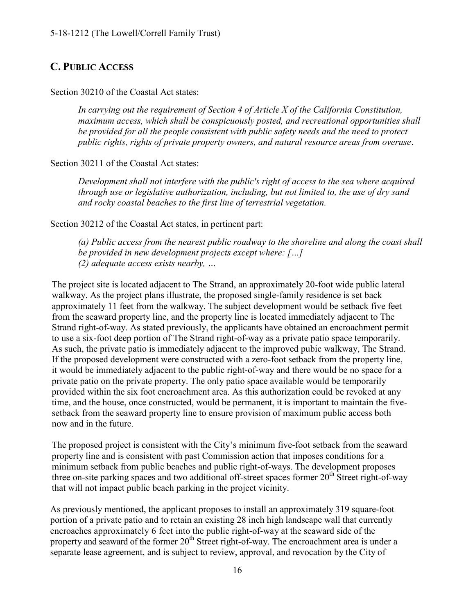### <span id="page-15-0"></span>**C. PUBLIC ACCESS**

#### Section 30210 of the Coastal Act states:

*In carrying out the requirement of Section 4 of Article X of the California Constitution, maximum access, which shall be conspicuously posted, and recreational opportunities shall be provided for all the people consistent with public safety needs and the need to protect public rights, rights of private property owners, and natural resource areas from overuse*.

#### Section 30211 of the Coastal Act states:

*Development shall not interfere with the public's right of access to the sea where acquired through use or legislative authorization, including, but not limited to, the use of dry sand and rocky coastal beaches to the first line of terrestrial vegetation.* 

Section 30212 of the Coastal Act states, in pertinent part:

*(a) Public access from the nearest public roadway to the shoreline and along the coast shall be provided in new development projects except where: […] (2) adequate access exists nearby, …*

The project site is located adjacent to The Strand, an approximately 20-foot wide public lateral walkway. As the project plans illustrate, the proposed single-family residence is set back approximately 11 feet from the walkway. The subject development would be setback five feet from the seaward property line, and the property line is located immediately adjacent to The Strand right-of-way. As stated previously, the applicants have obtained an encroachment permit to use a six-foot deep portion of The Strand right-of-way as a private patio space temporarily. As such, the private patio is immediately adjacent to the improved pubic walkway, The Strand. If the proposed development were constructed with a zero-foot setback from the property line, it would be immediately adjacent to the public right-of-way and there would be no space for a private patio on the private property. The only patio space available would be temporarily provided within the six foot encroachment area. As this authorization could be revoked at any time, and the house, once constructed, would be permanent, it is important to maintain the fivesetback from the seaward property line to ensure provision of maximum public access both now and in the future.

The proposed project is consistent with the City's minimum five-foot setback from the seaward property line and is consistent with past Commission action that imposes conditions for a minimum setback from public beaches and public right-of-ways. The development proposes three on-site parking spaces and two additional off-street spaces former  $20<sup>th</sup>$  Street right-of-way that will not impact public beach parking in the project vicinity.

As previously mentioned, the applicant proposes to install an approximately 319 square-foot portion of a private patio and to retain an existing 28 inch high landscape wall that currently encroaches approximately 6 feet into the public right-of-way at the seaward side of the property and seaward of the former  $20<sup>th</sup>$  Street right-of-way. The encroachment area is under a separate lease agreement, and is subject to review, approval, and revocation by the City of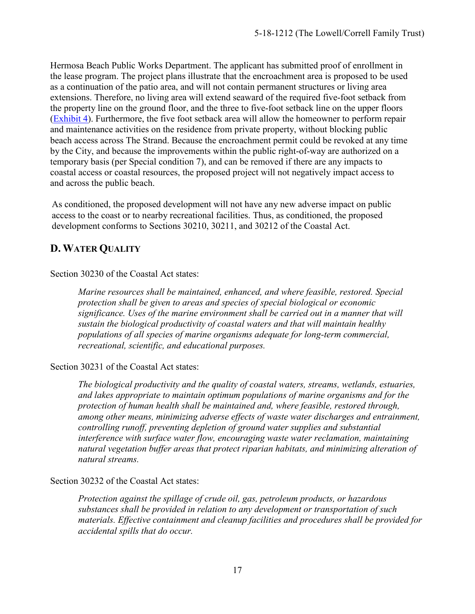Hermosa Beach Public Works Department. The applicant has submitted proof of enrollment in the lease program. The project plans illustrate that the encroachment area is proposed to be used as a continuation of the patio area, and will not contain permanent structures or living area extensions. Therefore, no living area will extend seaward of the required five-foot setback from the property line on the ground floor, and the three to five-foot setback line on the upper floors [\(Exhibit 4\)](https://documents.coastal.ca.gov/reports/2019/5/w16b/w16b-5-2019-exhibits.pdf). Furthermore, the five foot setback area will allow the homeowner to perform repair and maintenance activities on the residence from private property, without blocking public beach access across The Strand. Because the encroachment permit could be revoked at any time by the City, and because the improvements within the public right-of-way are authorized on a temporary basis (per Special condition 7), and can be removed if there are any impacts to coastal access or coastal resources, the proposed project will not negatively impact access to and across the public beach.

As conditioned, the proposed development will not have any new adverse impact on public access to the coast or to nearby recreational facilities. Thus, as conditioned, the proposed development conforms to Sections 30210, 30211, and 30212 of the Coastal Act.

### <span id="page-16-0"></span>**D. WATER QUALITY**

Section 30230 of the Coastal Act states:

*Marine resources shall be maintained, enhanced, and where feasible, restored. Special protection shall be given to areas and species of special biological or economic significance. Uses of the marine environment shall be carried out in a manner that will sustain the biological productivity of coastal waters and that will maintain healthy populations of all species of marine organisms adequate for long-term commercial, recreational, scientific, and educational purposes.* 

Section 30231 of the Coastal Act states:

*The biological productivity and the quality of coastal waters, streams, wetlands, estuaries, and lakes appropriate to maintain optimum populations of marine organisms and for the protection of human health shall be maintained and, where feasible, restored through, among other means, minimizing adverse effects of waste water discharges and entrainment, controlling runoff, preventing depletion of ground water supplies and substantial interference with surface water flow, encouraging waste water reclamation, maintaining natural vegetation buffer areas that protect riparian habitats, and minimizing alteration of natural streams.* 

Section 30232 of the Coastal Act states:

*Protection against the spillage of crude oil, gas, petroleum products, or hazardous substances shall be provided in relation to any development or transportation of such materials. Effective containment and cleanup facilities and procedures shall be provided for accidental spills that do occur.*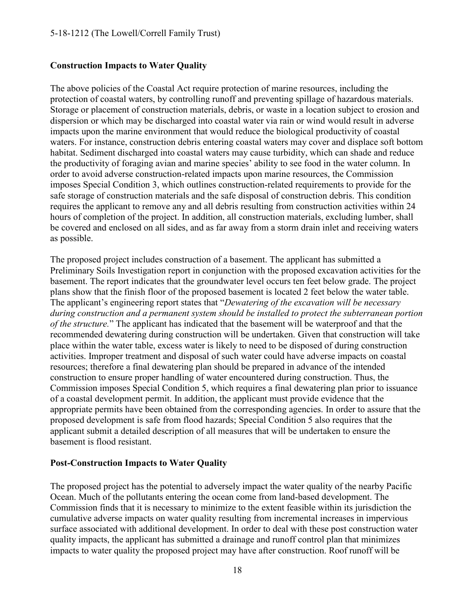### **Construction Impacts to Water Quality**

The above policies of the Coastal Act require protection of marine resources, including the protection of coastal waters, by controlling runoff and preventing spillage of hazardous materials. Storage or placement of construction materials, debris, or waste in a location subject to erosion and dispersion or which may be discharged into coastal water via rain or wind would result in adverse impacts upon the marine environment that would reduce the biological productivity of coastal waters. For instance, construction debris entering coastal waters may cover and displace soft bottom habitat. Sediment discharged into coastal waters may cause turbidity, which can shade and reduce the productivity of foraging avian and marine species' ability to see food in the water column. In order to avoid adverse construction-related impacts upon marine resources, the Commission imposes Special Condition 3, which outlines construction-related requirements to provide for the safe storage of construction materials and the safe disposal of construction debris. This condition requires the applicant to remove any and all debris resulting from construction activities within 24 hours of completion of the project. In addition, all construction materials, excluding lumber, shall be covered and enclosed on all sides, and as far away from a storm drain inlet and receiving waters as possible.

The proposed project includes construction of a basement. The applicant has submitted a Preliminary Soils Investigation report in conjunction with the proposed excavation activities for the basement. The report indicates that the groundwater level occurs ten feet below grade. The project plans show that the finish floor of the proposed basement is located 2 feet below the water table. The applicant's engineering report states that "*Dewatering of the excavation will be necessary during construction and a permanent system should be installed to protect the subterranean portion of the structure.*" The applicant has indicated that the basement will be waterproof and that the recommended dewatering during construction will be undertaken. Given that construction will take place within the water table, excess water is likely to need to be disposed of during construction activities. Improper treatment and disposal of such water could have adverse impacts on coastal resources; therefore a final dewatering plan should be prepared in advance of the intended construction to ensure proper handling of water encountered during construction. Thus, the Commission imposes Special Condition 5, which requires a final dewatering plan prior to issuance of a coastal development permit. In addition, the applicant must provide evidence that the appropriate permits have been obtained from the corresponding agencies. In order to assure that the proposed development is safe from flood hazards; Special Condition 5 also requires that the applicant submit a detailed description of all measures that will be undertaken to ensure the basement is flood resistant.

#### **Post-Construction Impacts to Water Quality**

The proposed project has the potential to adversely impact the water quality of the nearby Pacific Ocean. Much of the pollutants entering the ocean come from land-based development. The Commission finds that it is necessary to minimize to the extent feasible within its jurisdiction the cumulative adverse impacts on water quality resulting from incremental increases in impervious surface associated with additional development. In order to deal with these post construction water quality impacts, the applicant has submitted a drainage and runoff control plan that minimizes impacts to water quality the proposed project may have after construction. Roof runoff will be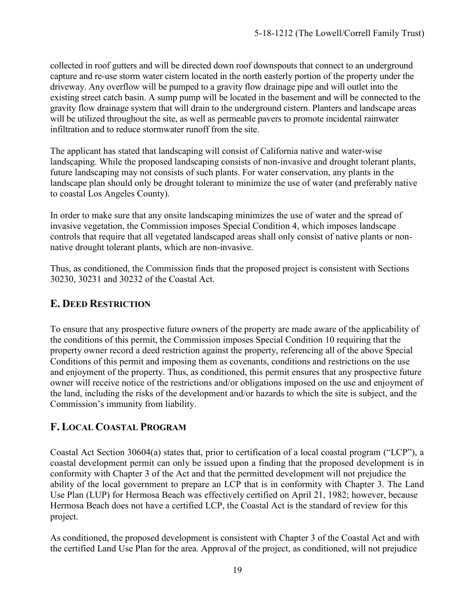collected in roof gutters and will be directed down roof downspouts that connect to an underground capture and re-use storm water cistern located in the north easterly portion of the property under the driveway. Any overflow will be pumped to a gravity flow drainage pipe and will outlet into the existing street catch basin. A sump pump will be located in the basement and will be connected to the gravity flow drainage system that will drain to the underground cistern. Planters and landscape areas will be utilized throughout the site, as well as permeable pavers to promote incidental rainwater infiltration and to reduce stormwater runoff from the site.

The applicant has stated that landscaping will consist of California native and water-wise landscaping. While the proposed landscaping consists of non-invasive and drought tolerant plants, future landscaping may not consists of such plants. For water conservation, any plants in the landscape plan should only be drought tolerant to minimize the use of water (and preferably native to coastal Los Angeles County).

In order to make sure that any onsite landscaping minimizes the use of water and the spread of invasive vegetation, the Commission imposes Special Condition 4, which imposes landscape controls that require that all vegetated landscaped areas shall only consist of native plants or nonnative drought tolerant plants, which are non-invasive.

Thus, as conditioned, the Commission finds that the proposed project is consistent with Sections 30230, 30231 and 30232 of the Coastal Act.

## <span id="page-18-0"></span>**E. DEED RESTRICTION**

To ensure that any prospective future owners of the property are made aware of the applicability of the conditions of this permit, the Commission imposes Special Condition 10 requiring that the property owner record a deed restriction against the property, referencing all of the above Special Conditions of this permit and imposing them as covenants, conditions and restrictions on the use and enjoyment of the property. Thus, as conditioned, this permit ensures that any prospective future owner will receive notice of the restrictions and/or obligations imposed on the use and enjoyment of the land, including the risks of the development and/or hazards to which the site is subject, and the Commission's immunity from liability.

### <span id="page-18-1"></span>**F. LOCAL COASTAL PROGRAM**

Coastal Act Section 30604(a) states that, prior to certification of a local coastal program ("LCP"), a coastal development permit can only be issued upon a finding that the proposed development is in conformity with Chapter 3 of the Act and that the permitted development will not prejudice the ability of the local government to prepare an LCP that is in conformity with Chapter 3. The Land Use Plan (LUP) for Hermosa Beach was effectively certified on April 21, 1982; however, because Hermosa Beach does not have a certified LCP, the Coastal Act is the standard of review for this project.

As conditioned, the proposed development is consistent with Chapter 3 of the Coastal Act and with the certified Land Use Plan for the area. Approval of the project, as conditioned, will not prejudice